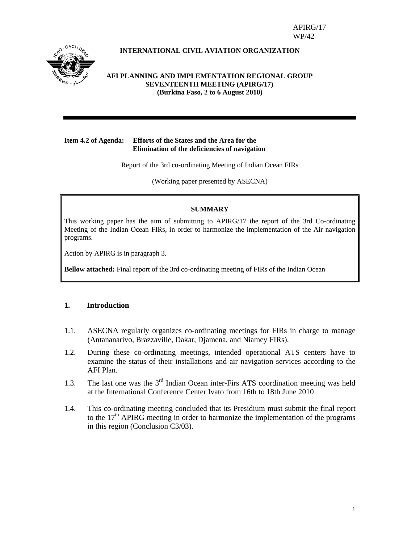APIRG/17 WP/42



#### **INTERNATIONAL CIVIL AVIATION ORGANIZATION**

#### **AFI PLANNING AND IMPLEMENTATION REGIONAL GROUP SEVENTEENTH MEETING (APIRG/17) (Burkina Faso, 2 to 6 August 2010)**

#### **Item 4.2 of Agenda: Efforts of the States and the Area for the Elimination of the deficiencies of navigation**

Report of the 3rd co-ordinating Meeting of Indian Ocean FIRs

(Working paper presented by ASECNA)

#### **SUMMARY**

This working paper has the aim of submitting to APIRG/17 the report of the 3rd Co-ordinating Meeting of the Indian Ocean FIRs, in order to harmonize the implementation of the Air navigation programs.

Action by APIRG is in paragraph 3.

**Bellow attached:** Final report of the 3rd co-ordinating meeting of FIRs of the Indian Ocean

#### **1. Introduction**

- 1.1. ASECNA regularly organizes co-ordinating meetings for FIRs in charge to manage (Antananarivo, Brazzaville, Dakar, Djamena, and Niamey FIRs).
- 1.2. During these co-ordinating meetings, intended operational ATS centers have to examine the status of their installations and air navigation services according to the AFI Plan.
- 1.3. The last one was the  $3<sup>rd</sup>$  Indian Ocean inter-Firs ATS coordination meeting was held at the International Conference Center Ivato from 16th to 18th June 2010
- 1.4. This co-ordinating meeting concluded that its Presidium must submit the final report to the  $17<sup>th</sup>$  APIRG meeting in order to harmonize the implementation of the programs in this region (Conclusion C3/03).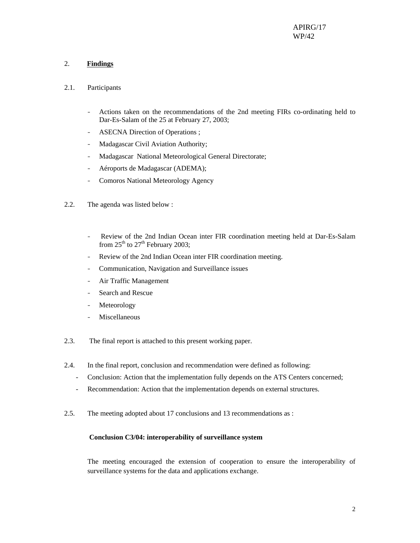#### 2. **Findings**

- 2.1. Participants
	- Actions taken on the recommendations of the 2nd meeting FIRs co-ordinating held to Dar-Es-Salam of the 25 at February 27, 2003;
	- ASECNA Direction of Operations ;
	- Madagascar Civil Aviation Authority;
	- Madagascar National Meteorological General Directorate;
	- Aéroports de Madagascar (ADEMA);
	- Comoros National Meteorology Agency
- 2.2. The agenda was listed below :
	- Review of the 2nd Indian Ocean inter FIR coordination meeting held at Dar-Es-Salam from  $25<sup>th</sup>$  to  $27<sup>th</sup>$  February 2003;
	- Review of the 2nd Indian Ocean inter FIR coordination meeting.
	- Communication, Navigation and Surveillance issues
	- Air Traffic Management
	- Search and Rescue
	- Meteorology
	- Miscellaneous
- 2.3. The final report is attached to this present working paper.
- 2.4. In the final report, conclusion and recommendation were defined as following:
	- Conclusion: Action that the implementation fully depends on the ATS Centers concerned;
	- Recommendation: Action that the implementation depends on external structures.
- 2.5. The meeting adopted about 17 conclusions and 13 recommendations as :

#### **Conclusion C3/04: interoperability of surveillance system**

The meeting encouraged the extension of cooperation to ensure the interoperability of surveillance systems for the data and applications exchange.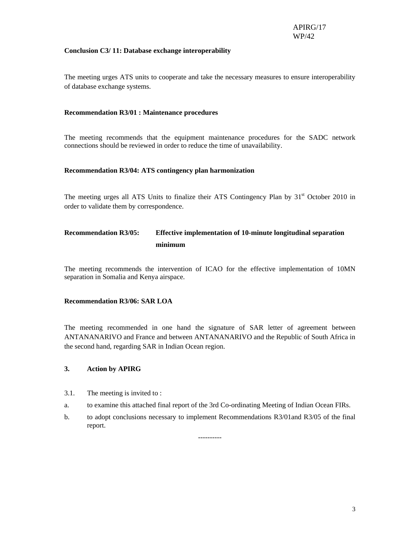#### **Conclusion C3/ 11: Database exchange interoperability**

The meeting urges ATS units to cooperate and take the necessary measures to ensure interoperability of database exchange systems.

#### **Recommendation R3/01 : Maintenance procedures**

The meeting recommends that the equipment maintenance procedures for the SADC network connections should be reviewed in order to reduce the time of unavailability.

#### **Recommendation R3/04: ATS contingency plan harmonization**

The meeting urges all ATS Units to finalize their ATS Contingency Plan by  $31<sup>st</sup>$  October 2010 in order to validate them by correspondence.

# **Recommendation R3/05: Effective implementation of 10-minute longitudinal separation minimum**

The meeting recommends the intervention of ICAO for the effective implementation of 10MN separation in Somalia and Kenya airspace.

#### **Recommendation R3/06: SAR LOA**

The meeting recommended in one hand the signature of SAR letter of agreement between ANTANANARIVO and France and between ANTANANARIVO and the Republic of South Africa in the second hand, regarding SAR in Indian Ocean region.

#### **3. Action by APIRG**

- 3.1. The meeting is invited to :
- a. to examine this attached final report of the 3rd Co-ordinating Meeting of Indian Ocean FIRs.
- b. to adopt conclusions necessary to implement Recommendations R3/01and R3/05 of the final report.

----------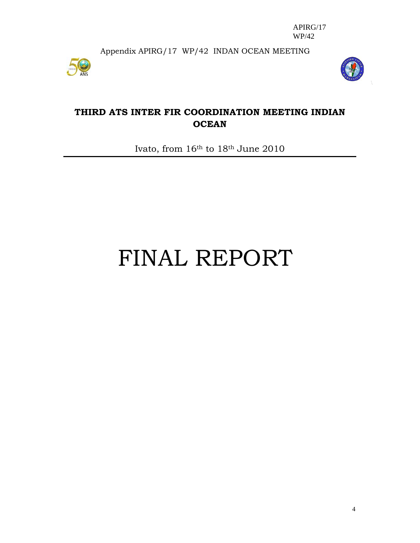Appendix APIRG/17 WP/42 INDAN OCEAN MEETING





# **THIRD ATS INTER FIR COORDINATION MEETING INDIAN OCEAN**

Ivato, from 16th to 18th June 2010

# FINAL REPORT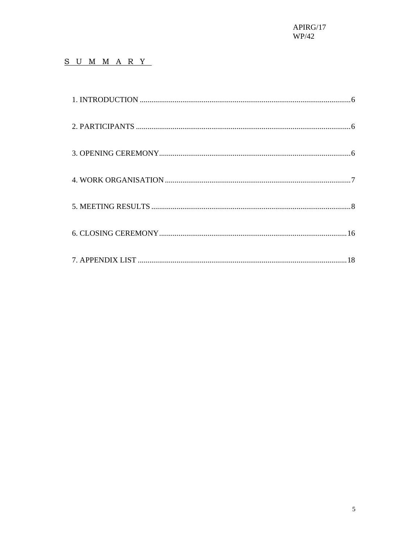# S U M M A R Y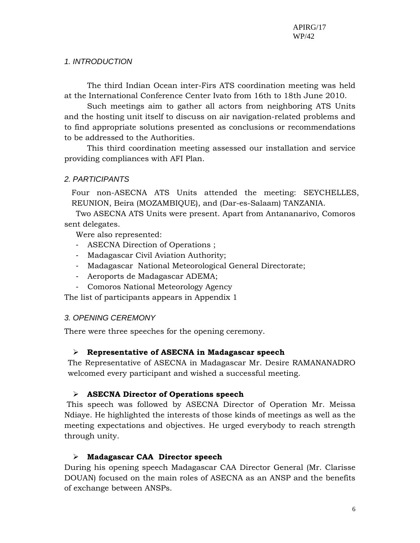## *1. INTRODUCTION*

The third Indian Ocean inter-Firs ATS coordination meeting was held at the International Conference Center Ivato from 16th to 18th June 2010.

Such meetings aim to gather all actors from neighboring ATS Units and the hosting unit itself to discuss on air navigation-related problems and to find appropriate solutions presented as conclusions or recommendations to be addressed to the Authorities.

This third coordination meeting assessed our installation and service providing compliances with AFI Plan.

## *2. PARTICIPANTS*

Four non-ASECNA ATS Units attended the meeting: SEYCHELLES, REUNION, Beira (MOZAMBIQUE), and (Dar-es-Salaam) TANZANIA.

Two ASECNA ATS Units were present. Apart from Antananarivo, Comoros sent delegates.

Were also represented:

- ASECNA Direction of Operations ;
- Madagascar Civil Aviation Authority;
- Madagascar National Meteorological General Directorate;
- Aeroports de Madagascar ADEMA;
- Comoros National Meteorology Agency

The list of participants appears in Appendix 1

## *3. OPENING CEREMONY*

There were three speeches for the opening ceremony.

## ¾ **Representative of ASECNA in Madagascar speech**

The Representative of ASECNA in Madagascar Mr. Desire RAMANANADRO welcomed every participant and wished a successful meeting.

## ¾ **ASECNA Director of Operations speech**

 This speech was followed by ASECNA Director of Operation Mr. Meissa Ndiaye. He highlighted the interests of those kinds of meetings as well as the meeting expectations and objectives. He urged everybody to reach strength through unity.

## ¾ **Madagascar CAA Director speech**

During his opening speech Madagascar CAA Director General (Mr. Clarisse DOUAN) focused on the main roles of ASECNA as an ANSP and the benefits of exchange between ANSPs.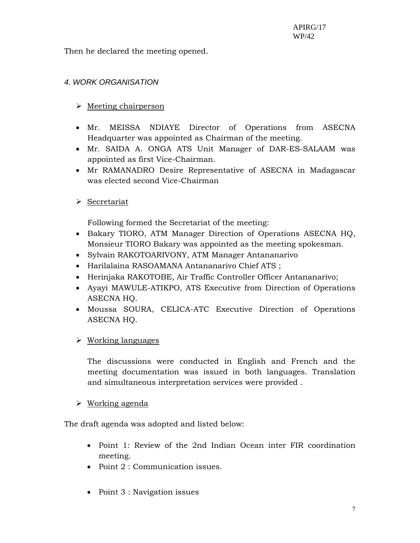Then he declared the meeting opened.

# *4. WORK ORGANISATION*

# $\triangleright$  Meeting chairperson

- Mr. MEISSA NDIAYE Director of Operations from ASECNA Headquarter was appointed as Chairman of the meeting.
- Mr. SAIDA A. ONGA ATS Unit Manager of DAR-ES-SALAAM was appointed as first Vice-Chairman.
- Mr RAMANADRO Desire Representative of ASECNA in Madagascar was elected second Vice-Chairman

# $\triangleright$  Secretariat

Following formed the Secretariat of the meeting:

- Bakary TIORO, ATM Manager Direction of Operations ASECNA HQ, Monsieur TIORO Bakary was appointed as the meeting spokesman.
- Sylvain RAKOTOARIVONY, ATM Manager Antananarivo
- Harilalaina RASOAMANA Antananarivo Chief ATS ;
- Herinjaka RAKOTOBE, Air Traffic Controller Officer Antananarivo;
- Ayayi MAWULE-ATIKPO, ATS Executive from Direction of Operations ASECNA HQ.
- Moussa SOURA, CELICA-ATC Executive Direction of Operations ASECNA HQ.
- $\triangleright$  Working languages

The discussions were conducted in English and French and the meeting documentation was issued in both languages. Translation and simultaneous interpretation services were provided .

## $\triangleright$  Working agenda

The draft agenda was adopted and listed below:

- Point 1: Review of the 2nd Indian Ocean inter FIR coordination meeting.
- Point 2 : Communication issues.
- Point 3 : Navigation issues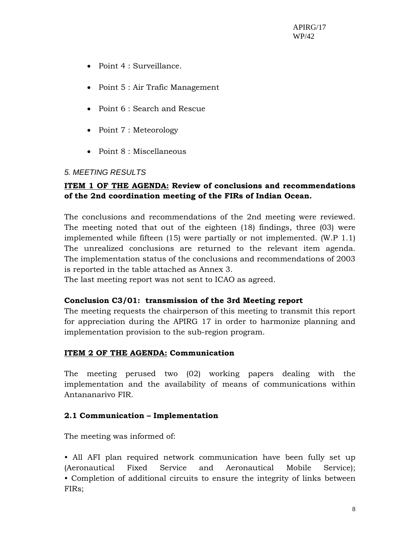- Point 4 : Surveillance.
- Point 5 : Air Trafic Management
- Point 6 : Search and Rescue
- Point 7 : Meteorology
- Point 8 : Miscellaneous

## *5. MEETING RESULTS*

# **ITEM 1 OF THE AGENDA: Review of conclusions and recommendations of the 2nd coordination meeting of the FIRs of Indian Ocean.**

The conclusions and recommendations of the 2nd meeting were reviewed. The meeting noted that out of the eighteen (18) findings, three (03) were implemented while fifteen (15) were partially or not implemented. (W.P 1.1) The unrealized conclusions are returned to the relevant item agenda. The implementation status of the conclusions and recommendations of 2003 is reported in the table attached as Annex 3.

The last meeting report was not sent to ICAO as agreed.

## **Conclusion C3/01: transmission of the 3rd Meeting report**

The meeting requests the chairperson of this meeting to transmit this report for appreciation during the APIRG 17 in order to harmonize planning and implementation provision to the sub-region program.

## **ITEM 2 OF THE AGENDA: Communication**

The meeting perused two (02) working papers dealing with the implementation and the availability of means of communications within Antananarivo FIR.

## **2.1 Communication – Implementation**

The meeting was informed of:

• All AFI plan required network communication have been fully set up (Aeronautical Fixed Service and Aeronautical Mobile Service); • Completion of additional circuits to ensure the integrity of links between FIRs;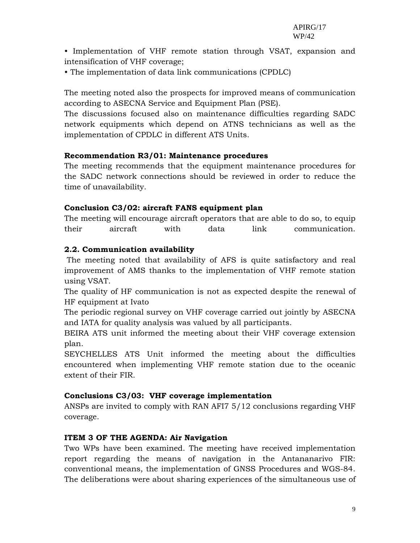• Implementation of VHF remote station through VSAT, expansion and intensification of VHF coverage;

• The implementation of data link communications (CPDLC)

The meeting noted also the prospects for improved means of communication according to ASECNA Service and Equipment Plan (PSE).

The discussions focused also on maintenance difficulties regarding SADC network equipments which depend on ATNS technicians as well as the implementation of CPDLC in different ATS Units.

## **Recommendation R3/01: Maintenance procedures**

The meeting recommends that the equipment maintenance procedures for the SADC network connections should be reviewed in order to reduce the time of unavailability.

## **Conclusion C3/02: aircraft FANS equipment plan**

The meeting will encourage aircraft operators that are able to do so, to equip their aircraft with data link communication.

#### **2.2. Communication availability**

 The meeting noted that availability of AFS is quite satisfactory and real improvement of AMS thanks to the implementation of VHF remote station using VSAT.

The quality of HF communication is not as expected despite the renewal of HF equipment at Ivato

The periodic regional survey on VHF coverage carried out jointly by ASECNA and IATA for quality analysis was valued by all participants.

BEIRA ATS unit informed the meeting about their VHF coverage extension plan.

SEYCHELLES ATS Unit informed the meeting about the difficulties encountered when implementing VHF remote station due to the oceanic extent of their FIR.

#### **Conclusions C3/03: VHF coverage implementation**

ANSPs are invited to comply with RAN AFI7 5/12 conclusions regarding VHF coverage.

#### **ITEM 3 OF THE AGENDA: Air Navigation**

Two WPs have been examined. The meeting have received implementation report regarding the means of navigation in the Antananarivo FIR: conventional means, the implementation of GNSS Procedures and WGS-84. The deliberations were about sharing experiences of the simultaneous use of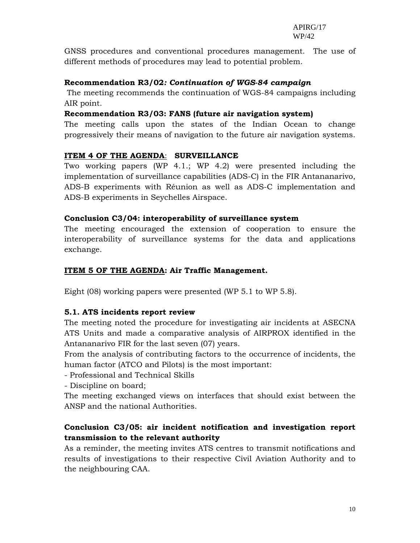GNSS procedures and conventional procedures management. The use of different methods of procedures may lead to potential problem.

#### **Recommendation R3/02***: Continuation of WGS-84 campaign*

The meeting recommends the continuation of WGS-84 campaigns including AIR point.

## **Recommendation R3/03: FANS (future air navigation system)**

The meeting calls upon the states of the Indian Ocean to change progressively their means of navigation to the future air navigation systems.

#### **ITEM 4 OF THE AGENDA**: **SURVEILLANCE**

Two working papers (WP 4.1.; WP 4.2) were presented including the implementation of surveillance capabilities (ADS-C) in the FIR Antananarivo, ADS-B experiments with Réunion as well as ADS-C implementation and ADS-B experiments in Seychelles Airspace.

#### **Conclusion C3/04: interoperability of surveillance system**

The meeting encouraged the extension of cooperation to ensure the interoperability of surveillance systems for the data and applications exchange.

#### **ITEM 5 OF THE AGENDA: Air Traffic Management.**

Eight (08) working papers were presented (WP 5.1 to WP 5.8).

## **5.1. ATS incidents report review**

The meeting noted the procedure for investigating air incidents at ASECNA ATS Units and made a comparative analysis of AIRPROX identified in the Antananarivo FIR for the last seven (07) years.

From the analysis of contributing factors to the occurrence of incidents, the human factor (ATCO and Pilots) is the most important:

- Professional and Technical Skills

- Discipline on board;

The meeting exchanged views on interfaces that should exist between the ANSP and the national Authorities.

## **Conclusion C3/05: air incident notification and investigation report transmission to the relevant authority**

As a reminder, the meeting invites ATS centres to transmit notifications and results of investigations to their respective Civil Aviation Authority and to the neighbouring CAA.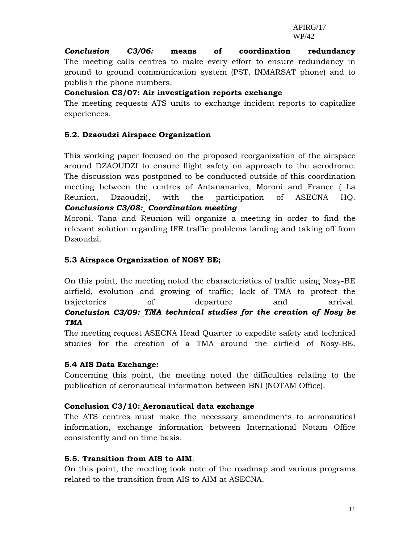*Conclusion C3/06:* **means of coordination redundancy** The meeting calls centres to make every effort to ensure redundancy in ground to ground communication system (PST, INMARSAT phone) and to publish the phone numbers.

## **Conclusion C3/07: Air investigation reports exchange**

The meeting requests ATS units to exchange incident reports to capitalize experiences.

# **5.2. Dzaoudzi Airspace Organization**

This working paper focused on the proposed reorganization of the airspace around DZAOUDZI to ensure flight safety on approach to the aerodrome. The discussion was postponed to be conducted outside of this coordination meeting between the centres of Antananarivo, Moroni and France ( La Reunion, Dzaoudzi), with the participation of ASECNA HQ. *Conclusions C3/08: Coordination meeting*

Moroni, Tana and Reunion will organize a meeting in order to find the relevant solution regarding IFR traffic problems landing and taking off from Dzaoudzi.

# **5.3 Airspace Organization of NOSY BE;**

On this point, the meeting noted the characteristics of traffic using Nosy-BE airfield, evolution and growing of traffic; lack of TMA to protect the trajectories of departure and arrival. *Conclusion C3/09: TMA technical studies for the creation of Nosy be TMA* 

The meeting request ASECNA Head Quarter to expedite safety and technical studies for the creation of a TMA around the airfield of Nosy-BE.

## **5.4 AIS Data Exchange:**

Concerning this point, the meeting noted the difficulties relating to the publication of aeronautical information between BNI (NOTAM Office).

## **Conclusion C3/10: Aeronautical data exchange**

The ATS centres must make the necessary amendments to aeronautical information, exchange information between International Notam Office consistently and on time basis.

## **5.5. Transition from AIS to AIM**:

On this point, the meeting took note of the roadmap and various programs related to the transition from AIS to AIM at ASECNA.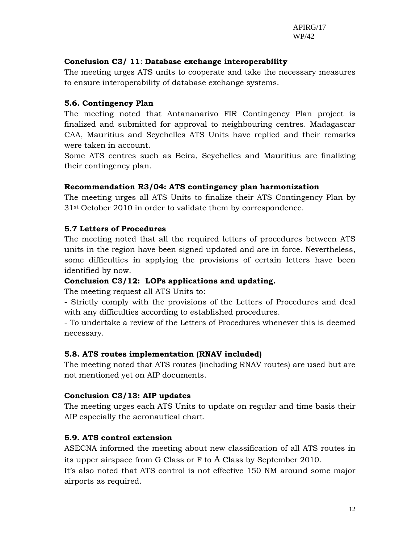# **Conclusion C3/ 11**: **Database exchange interoperability**

The meeting urges ATS units to cooperate and take the necessary measures to ensure interoperability of database exchange systems.

# **5.6. Contingency Plan**

The meeting noted that Antananarivo FIR Contingency Plan project is finalized and submitted for approval to neighbouring centres. Madagascar CAA, Mauritius and Seychelles ATS Units have replied and their remarks were taken in account.

Some ATS centres such as Beira, Seychelles and Mauritius are finalizing their contingency plan.

# **Recommendation R3/04: ATS contingency plan harmonization**

The meeting urges all ATS Units to finalize their ATS Contingency Plan by 31st October 2010 in order to validate them by correspondence.

# **5.7 Letters of Procedures**

The meeting noted that all the required letters of procedures between ATS units in the region have been signed updated and are in force. Nevertheless, some difficulties in applying the provisions of certain letters have been identified by now.

# **Conclusion C3/12: LOPs applications and updating.**

The meeting request all ATS Units to:

- Strictly comply with the provisions of the Letters of Procedures and deal with any difficulties according to established procedures.

- To undertake a review of the Letters of Procedures whenever this is deemed necessary.

# **5.8. ATS routes implementation (RNAV included)**

The meeting noted that ATS routes (including RNAV routes) are used but are not mentioned yet on AIP documents.

## **Conclusion C3/13: AIP updates**

The meeting urges each ATS Units to update on regular and time basis their AIP especially the aeronautical chart.

# **5.9. ATS control extension**

ASECNA informed the meeting about new classification of all ATS routes in its upper airspace from G Class or F to A Class by September 2010.

It's also noted that ATS control is not effective 150 NM around some major airports as required.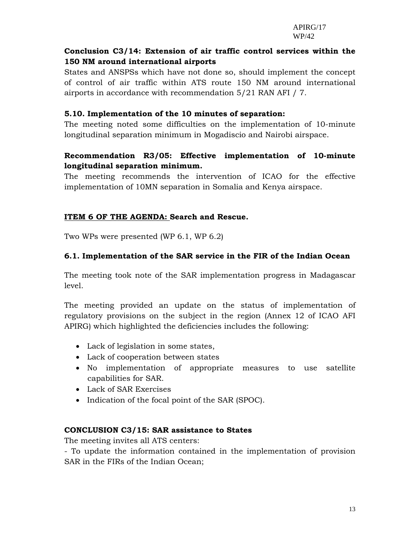# **Conclusion C3/14: Extension of air traffic control services within the 150 NM around international airports**

States and ANSPSs which have not done so, should implement the concept of control of air traffic within ATS route 150 NM around international airports in accordance with recommendation 5/21 RAN AFI / 7.

# **5.10. Implementation of the 10 minutes of separation:**

The meeting noted some difficulties on the implementation of 10-minute longitudinal separation minimum in Mogadiscio and Nairobi airspace.

# **Recommendation R3/05: Effective implementation of 10-minute longitudinal separation minimum.**

The meeting recommends the intervention of ICAO for the effective implementation of 10MN separation in Somalia and Kenya airspace.

# **ITEM 6 OF THE AGENDA: Search and Rescue.**

Two WPs were presented (WP 6.1, WP 6.2)

# **6.1. Implementation of the SAR service in the FIR of the Indian Ocean**

The meeting took note of the SAR implementation progress in Madagascar level.

The meeting provided an update on the status of implementation of regulatory provisions on the subject in the region (Annex 12 of ICAO AFI APIRG) which highlighted the deficiencies includes the following:

- Lack of legislation in some states,
- Lack of cooperation between states
- No implementation of appropriate measures to use satellite capabilities for SAR.
- Lack of SAR Exercises
- Indication of the focal point of the SAR (SPOC).

## **CONCLUSION C3/15: SAR assistance to States**

The meeting invites all ATS centers:

- To update the information contained in the implementation of provision SAR in the FIRs of the Indian Ocean;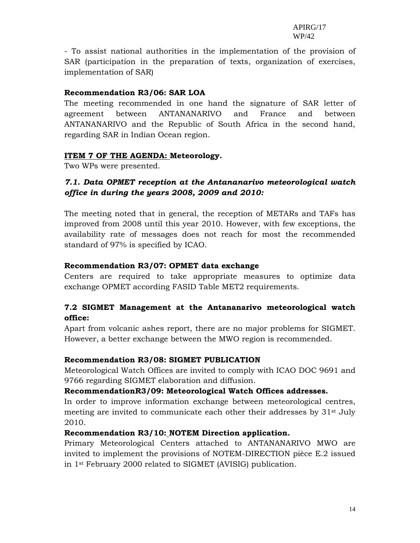- To assist national authorities in the implementation of the provision of SAR (participation in the preparation of texts, organization of exercises, implementation of SAR)

#### **Recommendation R3/06: SAR LOA**

The meeting recommended in one hand the signature of SAR letter of agreement between ANTANANARIVO and France and between ANTANANARIVO and the Republic of South Africa in the second hand, regarding SAR in Indian Ocean region.

#### **ITEM 7 OF THE AGENDA: Meteorology.**

Two WPs were presented.

# *7.1. Data OPMET reception at the Antananarivo meteorological watch office in during the years 2008, 2009 and 2010:*

The meeting noted that in general, the reception of METARs and TAFs has improved from 2008 until this year 2010. However, with few exceptions, the availability rate of messages does not reach for most the recommended standard of 97% is specified by ICAO.

## **Recommendation R3/07: OPMET data exchange**

Centers are required to take appropriate measures to optimize data exchange OPMET according FASID Table MET2 requirements.

# **7.2 SIGMET Management at the Antananarivo meteorological watch office:**

Apart from volcanic ashes report, there are no major problems for SIGMET. However, a better exchange between the MWO region is recommended.

## **Recommendation R3/08: SIGMET PUBLICATION**

Meteorological Watch Offices are invited to comply with ICAO DOC 9691 and 9766 regarding SIGMET elaboration and diffusion.

#### **RecommendationR3/09: Meteorological Watch Offices addresses.**

In order to improve information exchange between meteorological centres, meeting are invited to communicate each other their addresses by  $31<sup>st</sup>$  July 2010.

#### **Recommendation R3/10: NOTEM Direction application.**

Primary Meteorological Centers attached to ANTANANARIVO MWO are invited to implement the provisions of NOTEM-DIRECTION pièce E.2 issued in 1st February 2000 related to SIGMET (AVISIG) publication.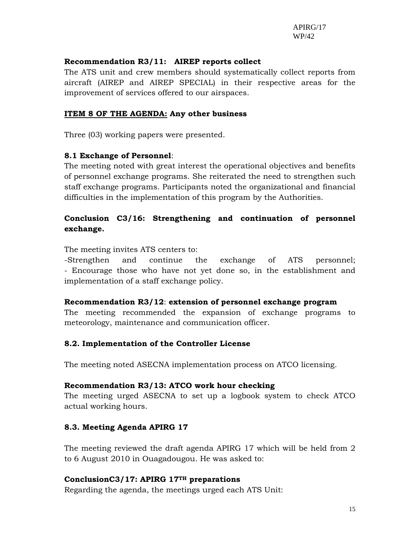## **Recommendation R3/11: AIREP reports collect**

The ATS unit and crew members should systematically collect reports from aircraft (AIREP and AIREP SPECIAL) in their respective areas for the improvement of services offered to our airspaces.

#### **ITEM 8 OF THE AGENDA: Any other business**

Three (03) working papers were presented.

#### **8.1 Exchange of Personnel**:

The meeting noted with great interest the operational objectives and benefits of personnel exchange programs. She reiterated the need to strengthen such staff exchange programs. Participants noted the organizational and financial difficulties in the implementation of this program by the Authorities.

# **Conclusion C3/16: Strengthening and continuation of personnel exchange.**

The meeting invites ATS centers to:

-Strengthen and continue the exchange of ATS personnel; - Encourage those who have not yet done so, in the establishment and implementation of a staff exchange policy.

#### **Recommendation R3/12**: **extension of personnel exchange program**

The meeting recommended the expansion of exchange programs to meteorology, maintenance and communication officer.

#### **8.2. Implementation of the Controller License**

The meeting noted ASECNA implementation process on ATCO licensing.

#### **Recommendation R3/13: ATCO work hour checking**

The meeting urged ASECNA to set up a logbook system to check ATCO actual working hours.

## **8.3. Meeting Agenda APIRG 17**

The meeting reviewed the draft agenda APIRG 17 which will be held from 2 to 6 August 2010 in Ouagadougou. He was asked to:

#### **ConclusionC3/17: APIRG 17TH preparations**

Regarding the agenda, the meetings urged each ATS Unit: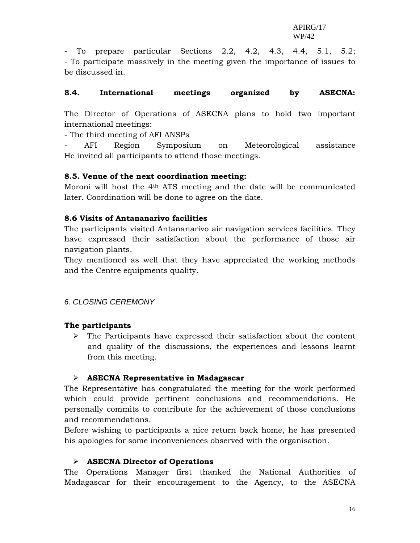- To prepare particular Sections 2.2, 4.2, 4.3, 4.4, 5.1, 5.2; - To participate massively in the meeting given the importance of issues to be discussed in.

#### **8.4. International meetings organized by ASECNA:**

The Director of Operations of ASECNA plans to hold two important international meetings:

- The third meeting of AFI ANSPs

- AFI Region Symposium on Meteorological assistance He invited all participants to attend those meetings.

#### **8.5. Venue of the next coordination meeting:**

Moroni will host the  $4<sup>th</sup>$  ATS meeting and the date will be communicated later. Coordination will be done to agree on the date.

#### **8.6 Visits of Antananarivo facilities**

The participants visited Antananarivo air navigation services facilities. They have expressed their satisfaction about the performance of those air navigation plants.

They mentioned as well that they have appreciated the working methods and the Centre equipments quality.

## *6. CLOSING CEREMONY*

#### **The participants**

 $\triangleright$  The Participants have expressed their satisfaction about the content and quality of the discussions, the experiences and lessons learnt from this meeting.

## ¾ **ASECNA Representative in Madagascar**

The Representative has congratulated the meeting for the work performed which could provide pertinent conclusions and recommendations. He personally commits to contribute for the achievement of those conclusions and recommendations.

Before wishing to participants a nice return back home, he has presented his apologies for some inconveniences observed with the organisation.

#### ¾ **ASECNA Director of Operations**

The Operations Manager first thanked the National Authorities of Madagascar for their encouragement to the Agency, to the ASECNA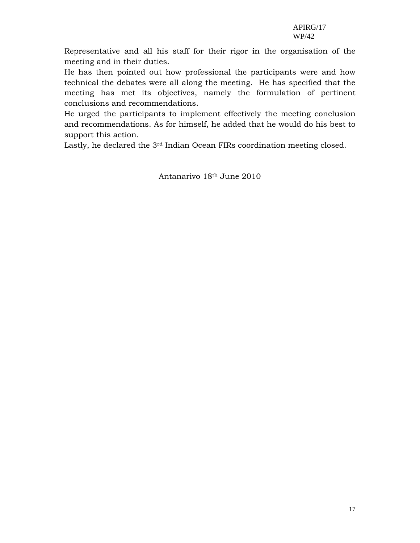Representative and all his staff for their rigor in the organisation of the meeting and in their duties.

He has then pointed out how professional the participants were and how technical the debates were all along the meeting. He has specified that the meeting has met its objectives, namely the formulation of pertinent conclusions and recommendations.

He urged the participants to implement effectively the meeting conclusion and recommendations. As for himself, he added that he would do his best to support this action.

Lastly, he declared the 3<sup>rd</sup> Indian Ocean FIRs coordination meeting closed.

Antanarivo 18th June 2010